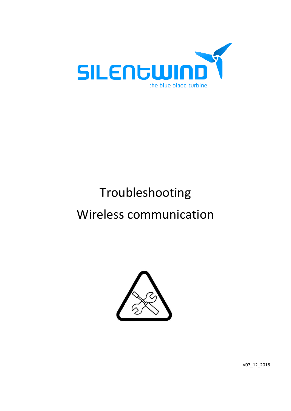

# Troubleshooting Wireless communication



V07\_12\_2018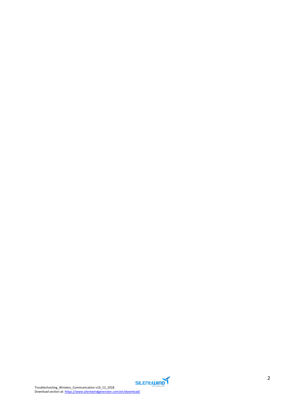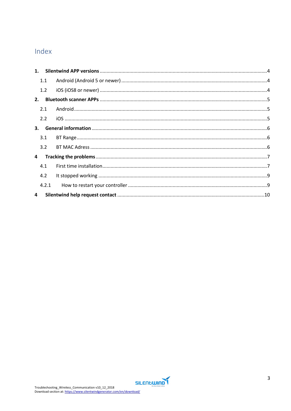# Index

|    | 1.1   |  |
|----|-------|--|
|    | 1.2   |  |
| 2. |       |  |
|    | 2.1   |  |
|    | 2.2   |  |
| 3. |       |  |
|    | 3.1   |  |
|    | 3.2   |  |
| 4  |       |  |
|    | 4.1   |  |
|    | 4.2   |  |
|    | 4.2.1 |  |
| 4  |       |  |

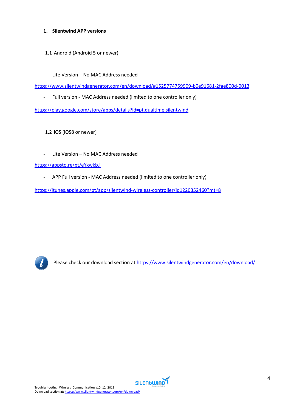# <span id="page-3-0"></span>**1. Silentwind APP versions**

- <span id="page-3-1"></span>1.1 Android (Android 5 or newer)
- Lite Version No MAC Address needed

<https://www.silentwindgenerator.com/en/download/#1525774759909-b0e91681-2fae800d-0013>

- Full version - MAC Address needed (limited to one controller only)

<https://play.google.com/store/apps/details?id=pt.dualtime.silentwind>

- <span id="page-3-2"></span>1.2 iOS (iOS8 or newer)
- Lite Version No MAC Address needed

<https://appsto.re/pt/eYxwkb.i>

- APP Full version - MAC Address needed (limited to one controller only)

<https://itunes.apple.com/pt/app/silentwind-wireless-controller/id1220352460?mt=8>



Please check our download section a[t https://www.silentwindgenerator.com/en/download/](https://www.silentwindgenerator.com/en/download/)

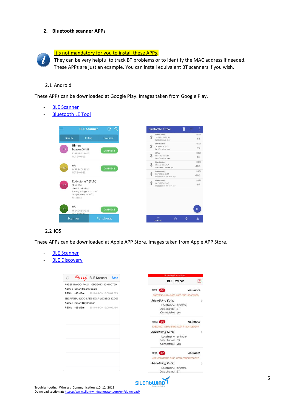#### <span id="page-4-0"></span>**2. Bluetooth scanner APPs**



It's not mandatory for you to install these APPs.

They can be very helpful to track BT problems or to identify the MAC address if needed. These APPs are just an example. You can install equivalent BT scanners if you wish.

#### <span id="page-4-1"></span>2.1 Android

These APPs can be downloaded at Google Play. Images taken from Google Play.

- **[BLE Scanner](https://play.google.com/store/apps/details?id=com.macdom.ble.blescanner)**
- [Bluetooth LE Tool](https://play.google.com/store/apps/details?id=com.michalpolewczak.bluetoothletool)



#### <span id="page-4-2"></span>2.2 iOS

These APPs can be downloaded at Apple APP Store. Images taken from Apple APP Store.

- [BLE Scanner](https://itunes.apple.com/us/app/bluetooth-smart-scanner/id509978131?mt=8)
- **[BLE Discovery](https://itunes.apple.com/us/app/ble-discovery/id821826273?mt=8&ign-mpt=uo%3D4)**

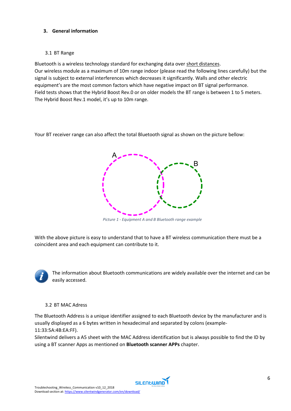# <span id="page-5-0"></span>**3. General information**

# <span id="page-5-1"></span>3.1 BT Range

Bluetooth is a wireless technology standard for exchanging data over short distances. Our wireless module as a maximum of 10m range indoor (please read the following lines carefully) but the signal is subject to external interferences which decreases it significantly. Walls and other electric equipment's are the most common factors which have negative impact on BT signal performance. Field tests shows that the Hybrid Boost Rev.0 or on older models the BT range is between 1 to 5 meters. The Hybrid Boost Rev.1 model, it's up to 10m range.

Your BT receiver range can also affect the total Bluetooth signal as shown on the picture bellow:



*Picture 1 - Equipment A and B Bluetooth range example*

With the above picture is easy to understand that to have a BT wireless communication there must be a coincident area and each equipment can contribute to it.



The information about Bluetooth communications are widely available over the internet and can be easily accessed.

# 3.2 BT MAC Adress

<span id="page-5-2"></span>The Bluetooth Address is a unique identifier assigned to each Bluetooth device by the manufacturer and is usually displayed as a 6 bytes written in hexadecimal and separated by colons (example-11:33:5A:4B:EA:FF).

Silentwind delivers a A5 sheet with the MAC Address identification but is always possible to find the ID by using a BT scanner Apps as mentioned on **[Bluetooth scanner APPs](#page-4-0)** chapter.

**SILENGWIND**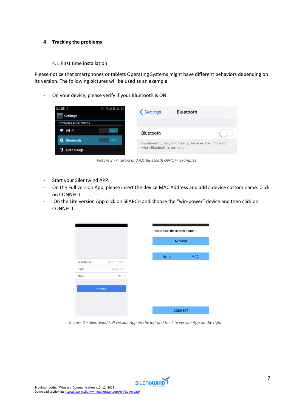#### <span id="page-6-0"></span>**4 Tracking the problems**

4.1 First time installation

<span id="page-6-1"></span>Please notice that smartphones or tablets Operating Systems might have different behaviors depending on its version. The following pictures will be used as an example.

- On your device, please verify if your Bluetooth is ON.

| Y<br>Settings                  |                  | 8<br>$-22.22$ | <b>くSettings</b>                                                                   | <b>Bluetooth</b> |  |  |
|--------------------------------|------------------|---------------|------------------------------------------------------------------------------------|------------------|--|--|
| <b>WIRELESS &amp; NETWORKS</b> |                  |               |                                                                                    |                  |  |  |
| ☞                              | Wi-Fi            | <b>ON</b>     | Bluetooth                                                                          |                  |  |  |
| 闲                              | <b>Bluetooth</b> | ON            | Location accuracy and nearby services are improved<br>when Bluetooth is turned on. |                  |  |  |
|                                | Data usage       |               |                                                                                    |                  |  |  |

*Picture 2 - Android and iOS Bluetooth ON/OFF examples*

- Start your Silentwind APP.
- On the Full version App, please insert the device MAC Address and add a device custom name. Click on CONNECT.
- On the Lite version App click on SEARCH and choose the "win-power" device and then click on CONNECT.

| Serial Number | FF:FF:FF:FF:FF:FF    |
|---------------|----------------------|
|               | Device Name          |
| Model         | 12v<br>$\rightarrow$ |
|               | Connect              |
|               |                      |
|               |                      |
|               |                      |

*Picture 3 – Silentwind Full version App on the left and the Lite version App on the right*

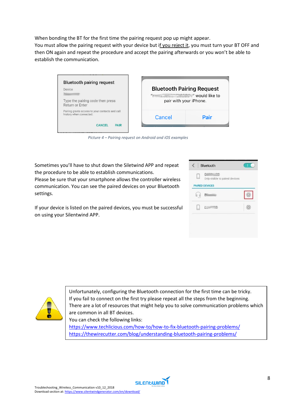When bonding the BT for the first time the pairing request pop up might appear.

You must allow the pairing request with your device but if you reject it, you must turn your BT OFF and then ON again and repeat the procedure and accept the pairing afterwards or you won't be able to establish the communication.

| <b>Bluetooth pairing request</b>                                                                           | <b>Bluetooth Pairing Request</b> |      |
|------------------------------------------------------------------------------------------------------------|----------------------------------|------|
| Device                                                                                                     | would like to                    |      |
| Type the pairing code then press                                                                           | $n_{\rm r}$                      |      |
| Return or Enter                                                                                            | pair with your iPhone.           |      |
| Pairing grants access to your contacts and call<br>history when connected.<br><b>PAIR</b><br><b>CANCEL</b> | Cancel                           | Pair |

*Picture 4 – Pairing request on Android and iOS examples*

Sometimes you'll have to shut down the Siletwind APP and repeat the procedure to be able to establish communications.

Please be sure that your smartphone allows the controller wireless communication. You can see the paired devices on your Bluetooth settings.

If your device is listed on the paired devices, you must be successful on using your Silentwind APP.





Unfortunately, configuring the Bluetooth connection for the first time can be tricky. If you fail to connect on the first try please repeat all the steps from the beginning. There are a lot of resources that might help you to solve communication problems which are common in all BT devices.

You can check the following links:

<https://www.techlicious.com/how-to/how-to-fix-bluetooth-pairing-problems/> <https://thewirecutter.com/blog/understanding-bluetooth-pairing-problems/>

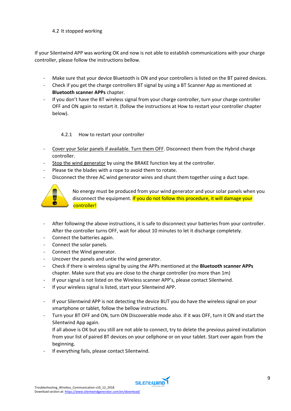# <span id="page-8-0"></span>4.2 It stopped working

If your Silentwind APP was working OK and now is not able to establish communications with your charge controller, please follow the instructions bellow.

- Make sure that your device Bluetooth is ON and your controllers is listed on the BT paired devices.
- Check if you get the charge controllers BT signal by using a BT Scanner App as mentioned at **[Bluetooth scanner APPs](#page-4-0)** chapter.
- If you don't have the BT wireless signal from your charge controller, turn your charge controller OFF and ON again to restart it. (follow the instructions at [How to restart your controller](#page-8-1) chapter below).

# 4.2.1 How to restart your controller

- <span id="page-8-1"></span>- Cover your Solar panels if available. Turn them OFF. Disconnect them from the Hybrid charge controller.
- Stop the wind generator by using the BRAKE function key at the controller.
- Please tie the blades with a rope to avoid them to rotate.
- Disconnect the three AC wind generator wires and shunt them together using a duct tape.



 No energy must be produced from your wind generator and your solar panels when you disconnect the equipment. If you do not follow this procedure, it will damage your controller!

- After following the above instructions, it is safe to disconnect your batteries from your controller. After the controller turns OFF, wait for about 10 minutes to let it discharge completely.
- Connect the batteries again.
- Connect the solar panels.
- Connect the Wind generator.
- Uncover the panels and untie the wind generator.
- Check if there is wireless signal by using the APPs mentioned at the **[Bluetooth scanner APPs](#page-4-0)** chapter. Make sure that you are close to the charge controller (no more than 1m)
- If your signal is not listed on the Wireless scanner APP's, please contact Silentwind.
- If your wireless signal is listed, start your Silentwind APP.
- If your Silentwind APP is not detecting the device BUT you do have the wireless signal on your smartphone or tablet, follow the bellow instructions.
- Turn your BT OFF and ON, turn ON Discoverable mode also. If it was OFF, turn it ON and start the Silentwind App again.

If all above is OK but you still are not able to connect, try to delete the previous paired installation from your list of paired BT devices on your cellphone or on your tablet. Start over again from the beginning.

If everything fails, please contact Silentwind.